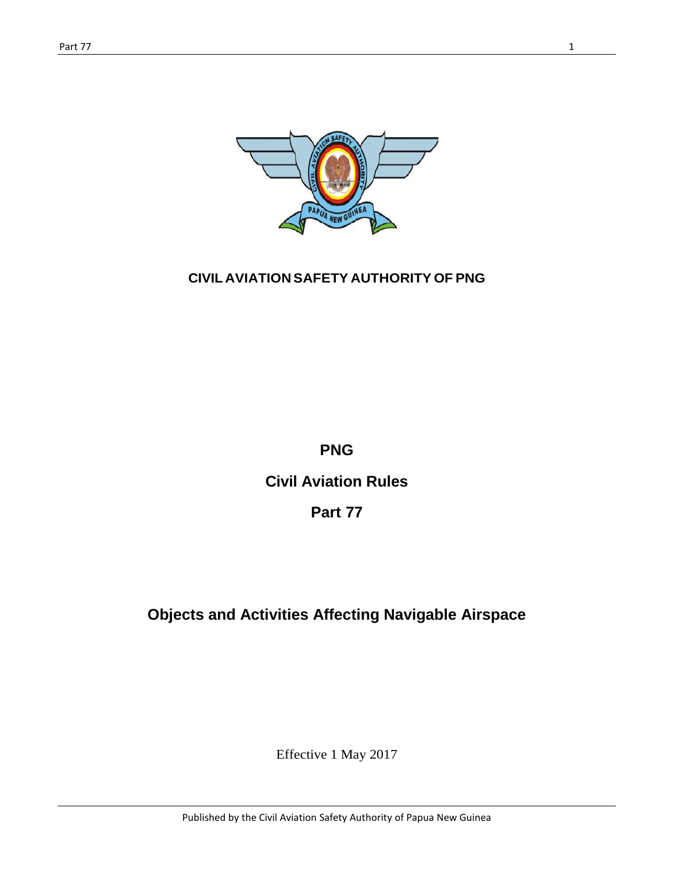

## **CIVIL AVIATION SAFETY AUTHORITY OF PNG**

# **PNG**

**Civil Aviation Rules**

# **Part 77**

# <span id="page-0-0"></span>**Objects and Activities Affecting Navigable Airspace**

Effective 1 May 2017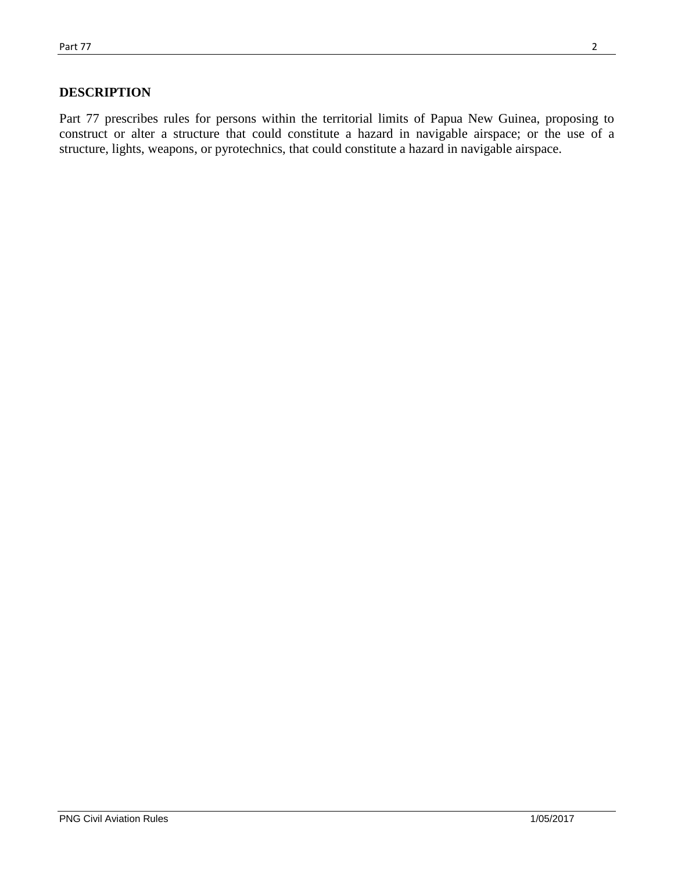## **DESCRIPTION**

Part 77 prescribes rules for persons within the territorial limits of Papua New Guinea, proposing to construct or alter a structure that could constitute a hazard in navigable airspace; or the use of a structure, lights, weapons, or pyrotechnics, that could constitute a hazard in navigable airspace.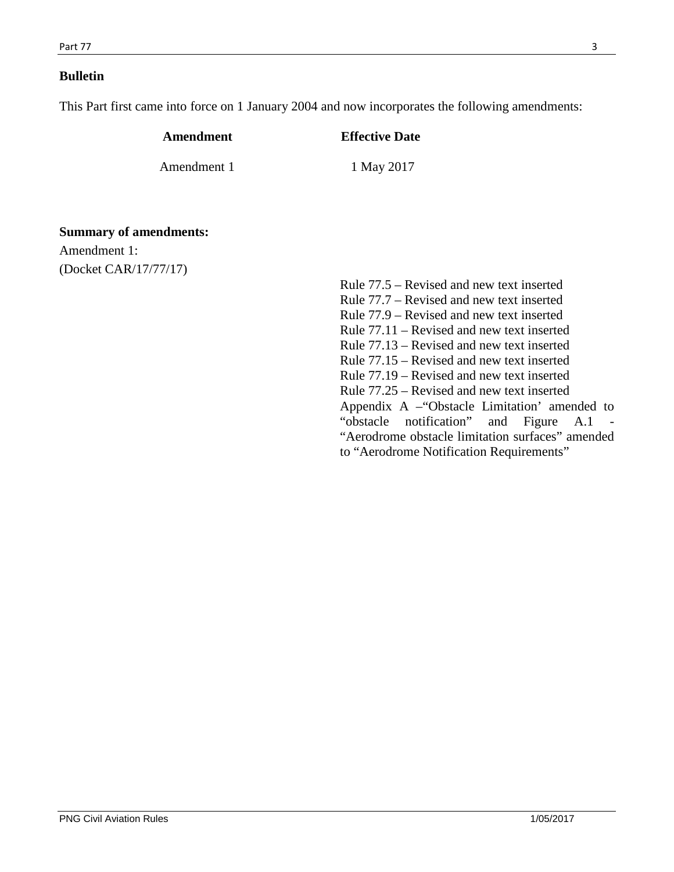### **Bulletin**

This Part first came into force on 1 January 2004 and now incorporates the following amendments:

| Amendment   | <b>Effective Date</b> |
|-------------|-----------------------|
| Amendment 1 | 1 May 2017            |
|             |                       |

**Summary of amendments:**

Amendment 1: (Docket CAR/17/77/17)

> Rule 77.5 – Revised and new text inserted Rule 77.7 – Revised and new text inserted Rule 77.9 – Revised and new text inserted Rule 77.11 – Revised and new text inserted Rule 77.13 – Revised and new text inserted Rule 77.15 – Revised and new text inserted Rule 77.19 – Revised and new text inserted Rule 77.25 – Revised and new text inserted Appendix A –"Obstacle Limitation' amended to "obstacle notification" and Figure A.1 - "Aerodrome obstacle limitation surfaces" amended to "Aerodrome Notification Requirements"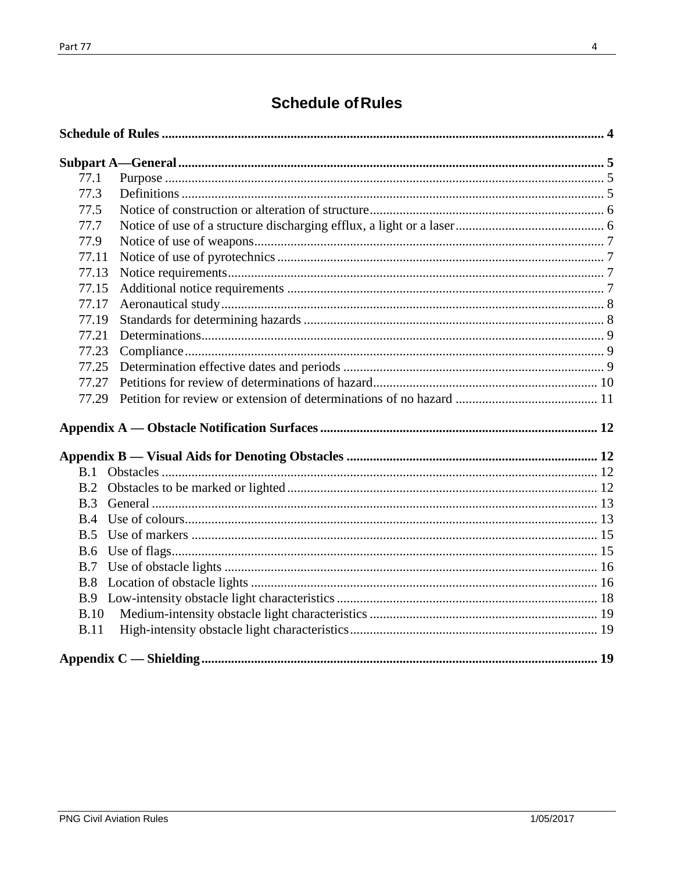# **Schedule of Rules**

| 77.1        |  |  |  |
|-------------|--|--|--|
| 77.3        |  |  |  |
| 77.5        |  |  |  |
| 77.7        |  |  |  |
| 77.9        |  |  |  |
| 77.11       |  |  |  |
| 77.13       |  |  |  |
| 77.15       |  |  |  |
| 77.17       |  |  |  |
| 77.19       |  |  |  |
| 77.21       |  |  |  |
| 77.23       |  |  |  |
| 77.25       |  |  |  |
| 77.27       |  |  |  |
| 77.29       |  |  |  |
|             |  |  |  |
|             |  |  |  |
|             |  |  |  |
| B.2         |  |  |  |
| <b>B.3</b>  |  |  |  |
| B.4         |  |  |  |
| B.5         |  |  |  |
| <b>B.6</b>  |  |  |  |
| B.7         |  |  |  |
| B.8         |  |  |  |
|             |  |  |  |
| B.10        |  |  |  |
| <b>B.11</b> |  |  |  |
|             |  |  |  |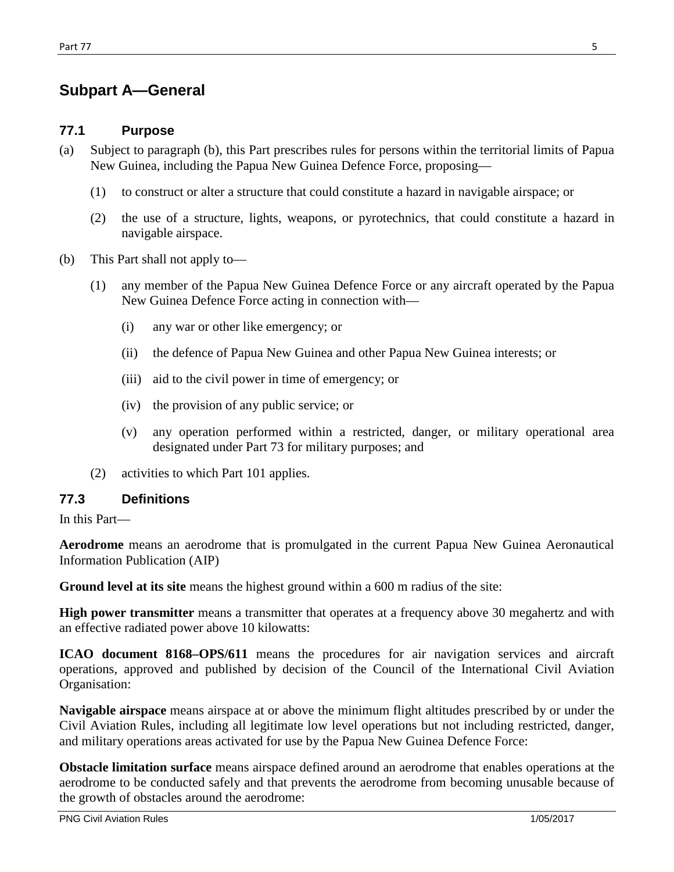# <span id="page-4-0"></span>**Subpart A—General**

#### <span id="page-4-1"></span>**77.1 Purpose**

- (a) Subject to paragraph (b), this Part prescribes rules for persons within the territorial limits of Papua New Guinea, including the Papua New Guinea Defence Force, proposing—
	- (1) to construct or alter a structure that could constitute a hazard in navigable airspace; or
	- (2) the use of a structure, lights, weapons, or pyrotechnics, that could constitute a hazard in navigable airspace.
- (b) This Part shall not apply to—
	- (1) any member of the Papua New Guinea Defence Force or any aircraft operated by the Papua New Guinea Defence Force acting in connection with—
		- (i) any war or other like emergency; or
		- (ii) the defence of Papua New Guinea and other Papua New Guinea interests; or
		- (iii) aid to the civil power in time of emergency; or
		- (iv) the provision of any public service; or
		- (v) any operation performed within a restricted, danger, or military operational area designated under Part 73 for military purposes; and
	- (2) activities to which Part 101 applies.

## <span id="page-4-2"></span>**77.3 Definitions**

In this Part—

**Aerodrome** means an aerodrome that is promulgated in the current Papua New Guinea Aeronautical Information Publication (AIP)

**Ground level at its site** means the highest ground within a 600 m radius of the site:

**High power transmitter** means a transmitter that operates at a frequency above 30 megahertz and with an effective radiated power above 10 kilowatts:

**ICAO document 8168–OPS/611** means the procedures for air navigation services and aircraft operations, approved and published by decision of the Council of the International Civil Aviation Organisation:

**Navigable airspace** means airspace at or above the minimum flight altitudes prescribed by or under the Civil Aviation Rules, including all legitimate low level operations but not including restricted, danger, and military operations areas activated for use by the Papua New Guinea Defence Force:

**Obstacle limitation surface** means airspace defined around an aerodrome that enables operations at the aerodrome to be conducted safely and that prevents the aerodrome from becoming unusable because of the growth of obstacles around the aerodrome: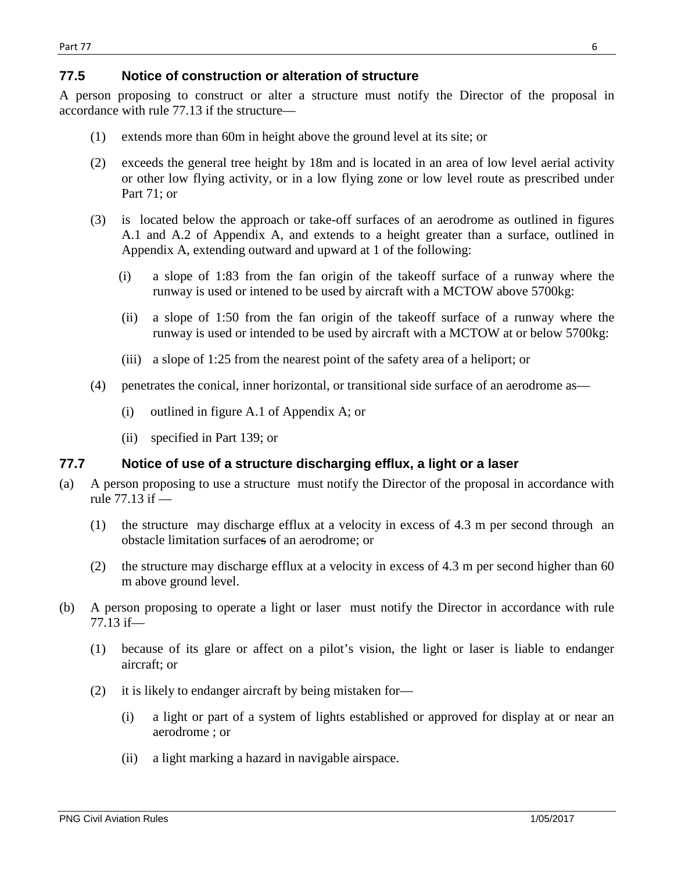### <span id="page-5-0"></span>**77.5 Notice of construction or alteration of structure**

A person proposing to construct or alter a structure must notify the Director of the proposal in accordance with rule 77.13 if the structure—

- (1) extends more than 60m in height above the ground level at its site; or
- (2) exceeds the general tree height by 18m and is located in an area of low level aerial activity or other low flying activity, or in a low flying zone or low level route as prescribed under Part 71; or
- (3) is located below the approach or take-off surfaces of an aerodrome as outlined in figures A.1 and A.2 of Appendix A, and extends to a height greater than a surface, outlined in Appendix A, extending outward and upward at 1 of the following:
	- (i) a slope of 1:83 from the fan origin of the takeoff surface of a runway where the runway is used or intened to be used by aircraft with a MCTOW above 5700kg:
	- (ii) a slope of 1:50 from the fan origin of the takeoff surface of a runway where the runway is used or intended to be used by aircraft with a MCTOW at or below 5700kg:
	- (iii) a slope of 1:25 from the nearest point of the safety area of a heliport; or
- (4) penetrates the conical, inner horizontal, or transitional side surface of an aerodrome as—
	- (i) outlined in figure A.1 of Appendix A; or
	- (ii) specified in Part 139; or

#### <span id="page-5-1"></span>**77.7 Notice of use of a structure discharging efflux, a light or a laser**

- (a) A person proposing to use a structure must notify the Director of the proposal in accordance with rule 77.13 if —
	- (1) the structure may discharge efflux at a velocity in excess of 4.3 m per second through an obstacle limitation surfaces of an aerodrome; or
	- (2) the structure may discharge efflux at a velocity in excess of 4.3 m per second higher than 60 m above ground level.
- (b) A person proposing to operate a light or laser must notify the Director in accordance with rule 77.13 if—
	- (1) because of its glare or affect on a pilot's vision, the light or laser is liable to endanger aircraft; or
	- (2) it is likely to endanger aircraft by being mistaken for—
		- (i) a light or part of a system of lights established or approved for display at or near an aerodrome ; or
		- (ii) a light marking a hazard in navigable airspace.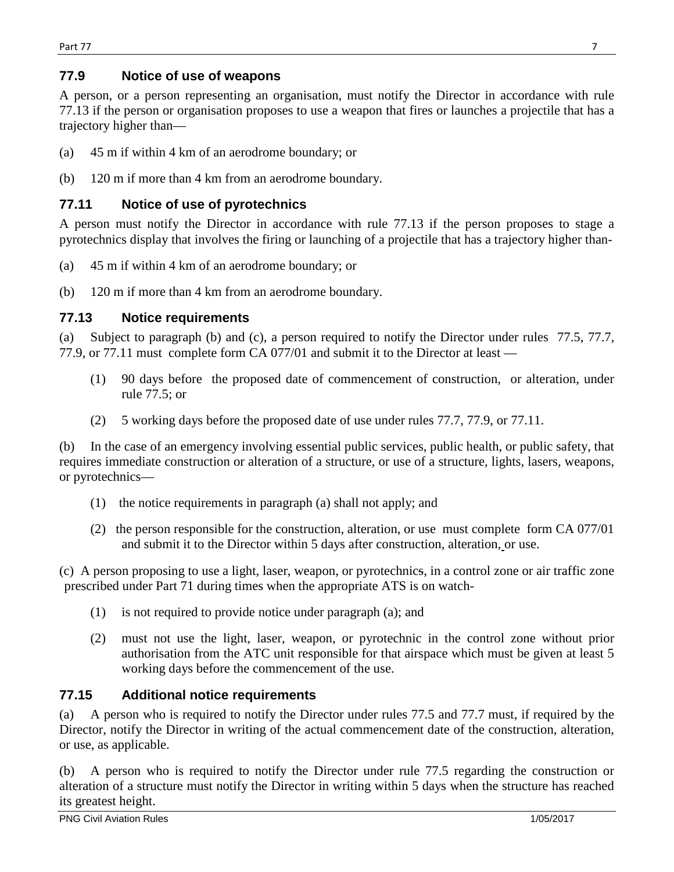## <span id="page-6-0"></span>**77.9 Notice of use of weapons**

A person, or a person representing an organisation, must notify the Director in accordance with rule 77.13 if the person or organisation proposes to use a weapon that fires or launches a projectile that has a trajectory higher than—

- (a) 45 m if within 4 km of an aerodrome boundary; or
- (b) 120 m if more than 4 km from an aerodrome boundary.

# <span id="page-6-1"></span>**77.11 Notice of use of pyrotechnics**

A person must notify the Director in accordance with rule 77.13 if the person proposes to stage a pyrotechnics display that involves the firing or launching of a projectile that has a trajectory higher than-

- (a) 45 m if within 4 km of an aerodrome boundary; or
- (b) 120 m if more than 4 km from an aerodrome boundary.

# <span id="page-6-2"></span>**77.13 Notice requirements**

(a) Subject to paragraph (b) and (c), a person required to notify the Director under rules 77.5, 77.7, 77.9, or 77.11 must complete form CA 077/01 and submit it to the Director at least —

- (1) 90 days before the proposed date of commencement of construction, or alteration, under rule 77.5; or
- (2) 5 working days before the proposed date of use under rules 77.7, 77.9, or 77.11.

(b) In the case of an emergency involving essential public services, public health, or public safety, that requires immediate construction or alteration of a structure, or use of a structure, lights, lasers, weapons, or pyrotechnics—

- (1) the notice requirements in paragraph (a) shall not apply; and
- (2) the person responsible for the construction, alteration, or use must complete form CA 077/01 and submit it to the Director within 5 days after construction, alteration, or use.

(c) A person proposing to use a light, laser, weapon, or pyrotechnics, in a control zone or air traffic zone prescribed under Part 71 during times when the appropriate ATS is on watch-

- (1) is not required to provide notice under paragraph (a); and
- (2) must not use the light, laser, weapon, or pyrotechnic in the control zone without prior authorisation from the ATC unit responsible for that airspace which must be given at least 5 working days before the commencement of the use.

# <span id="page-6-3"></span>**77.15 Additional notice requirements**

(a) A person who is required to notify the Director under rules 77.5 and 77.7 must, if required by the Director, notify the Director in writing of the actual commencement date of the construction, alteration, or use, as applicable.

(b) A person who is required to notify the Director under rule 77.5 regarding the construction or alteration of a structure must notify the Director in writing within 5 days when the structure has reached its greatest height.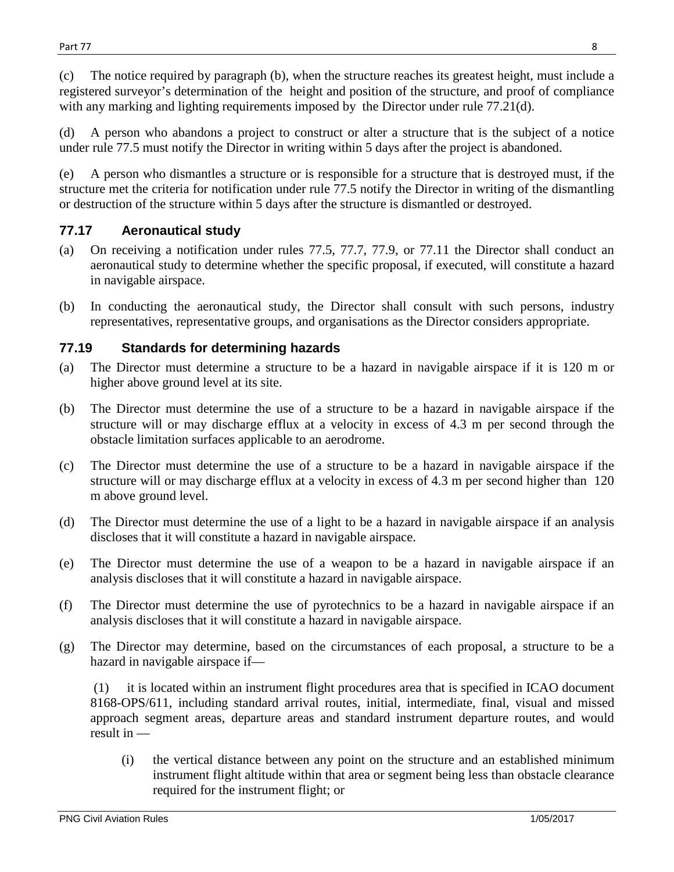(c) The notice required by paragraph (b), when the structure reaches its greatest height, must include a registered surveyor's determination of the height and position of the structure, and proof of compliance with any marking and lighting requirements imposed by the Director under rule 77.21(d).

A person who abandons a project to construct or alter a structure that is the subject of a notice under rule 77.5 must notify the Director in writing within 5 days after the project is abandoned.

(e) A person who dismantles a structure or is responsible for a structure that is destroyed must, if the structure met the criteria for notification under rule 77.5 notify the Director in writing of the dismantling or destruction of the structure within 5 days after the structure is dismantled or destroyed.

# <span id="page-7-0"></span>**77.17 Aeronautical study**

- (a) On receiving a notification under rules 77.5, 77.7, 77.9, or 77.11 the Director shall conduct an aeronautical study to determine whether the specific proposal, if executed, will constitute a hazard in navigable airspace.
- (b) In conducting the aeronautical study, the Director shall consult with such persons, industry representatives, representative groups, and organisations as the Director considers appropriate.

## <span id="page-7-1"></span>**77.19 Standards for determining hazards**

- (a) The Director must determine a structure to be a hazard in navigable airspace if it is 120 m or higher above ground level at its site.
- (b) The Director must determine the use of a structure to be a hazard in navigable airspace if the structure will or may discharge efflux at a velocity in excess of 4.3 m per second through the obstacle limitation surfaces applicable to an aerodrome.
- (c) The Director must determine the use of a structure to be a hazard in navigable airspace if the structure will or may discharge efflux at a velocity in excess of 4.3 m per second higher than 120 m above ground level.
- (d) The Director must determine the use of a light to be a hazard in navigable airspace if an analysis discloses that it will constitute a hazard in navigable airspace.
- (e) The Director must determine the use of a weapon to be a hazard in navigable airspace if an analysis discloses that it will constitute a hazard in navigable airspace.
- (f) The Director must determine the use of pyrotechnics to be a hazard in navigable airspace if an analysis discloses that it will constitute a hazard in navigable airspace.
- (g) The Director may determine, based on the circumstances of each proposal, a structure to be a hazard in navigable airspace if—

(1) it is located within an instrument flight procedures area that is specified in ICAO document 8168-OPS/611, including standard arrival routes, initial, intermediate, final, visual and missed approach segment areas, departure areas and standard instrument departure routes, and would result in —

(i) the vertical distance between any point on the structure and an established minimum instrument flight altitude within that area or segment being less than obstacle clearance required for the instrument flight; or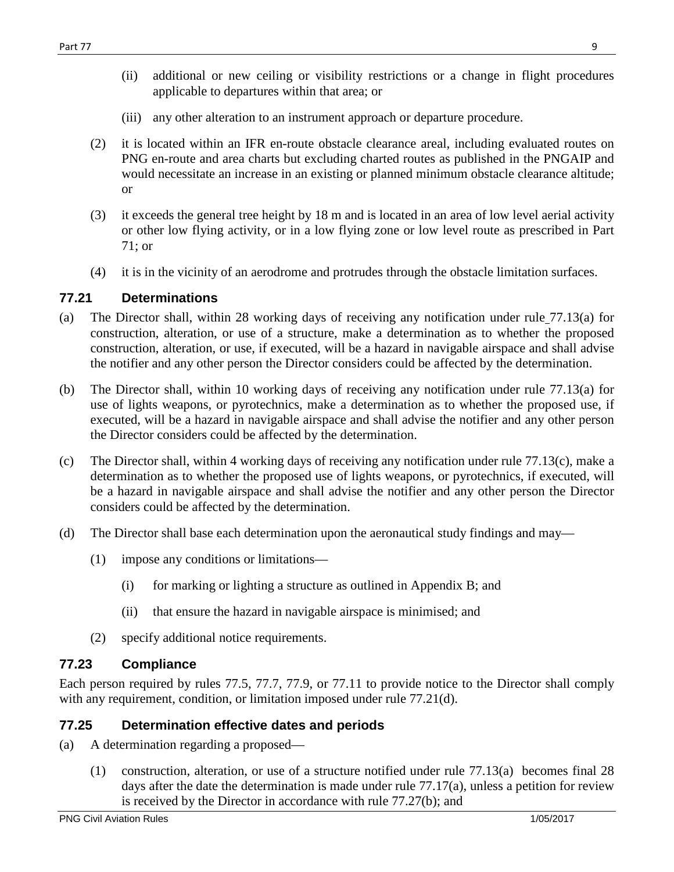- (iii) any other alteration to an instrument approach or departure procedure.
- (2) it is located within an IFR en-route obstacle clearance areal, including evaluated routes on PNG en-route and area charts but excluding charted routes as published in the PNGAIP and would necessitate an increase in an existing or planned minimum obstacle clearance altitude; or
- (3) it exceeds the general tree height by 18 m and is located in an area of low level aerial activity or other low flying activity, or in a low flying zone or low level route as prescribed in Part 71; or
- (4) it is in the vicinity of an aerodrome and protrudes through the obstacle limitation surfaces.

### <span id="page-8-0"></span>**77.21 Determinations**

- (a) The Director shall, within 28 working days of receiving any notification under rule 77.13(a) for construction, alteration, or use of a structure, make a determination as to whether the proposed construction, alteration, or use, if executed, will be a hazard in navigable airspace and shall advise the notifier and any other person the Director considers could be affected by the determination.
- (b) The Director shall, within 10 working days of receiving any notification under rule 77.13(a) for use of lights weapons, or pyrotechnics, make a determination as to whether the proposed use, if executed, will be a hazard in navigable airspace and shall advise the notifier and any other person the Director considers could be affected by the determination.
- (c) The Director shall, within 4 working days of receiving any notification under rule 77.13(c), make a determination as to whether the proposed use of lights weapons, or pyrotechnics, if executed, will be a hazard in navigable airspace and shall advise the notifier and any other person the Director considers could be affected by the determination.
- (d) The Director shall base each determination upon the aeronautical study findings and may—
	- (1) impose any conditions or limitations—
		- (i) for marking or lighting a structure as outlined in Appendix B; and
		- (ii) that ensure the hazard in navigable airspace is minimised; and
	- (2) specify additional notice requirements.

## <span id="page-8-1"></span>**77.23 Compliance**

Each person required by rules 77.5, 77.7, 77.9, or 77.11 to provide notice to the Director shall comply with any requirement, condition, or limitation imposed under rule 77.21(d).

## <span id="page-8-2"></span>**77.25 Determination effective dates and periods**

- (a) A determination regarding a proposed—
	- (1) construction, alteration, or use of a structure notified under rule 77.13(a) becomes final 28 days after the date the determination is made under rule 77.17(a), unless a petition for review is received by the Director in accordance with rule 77.27(b); and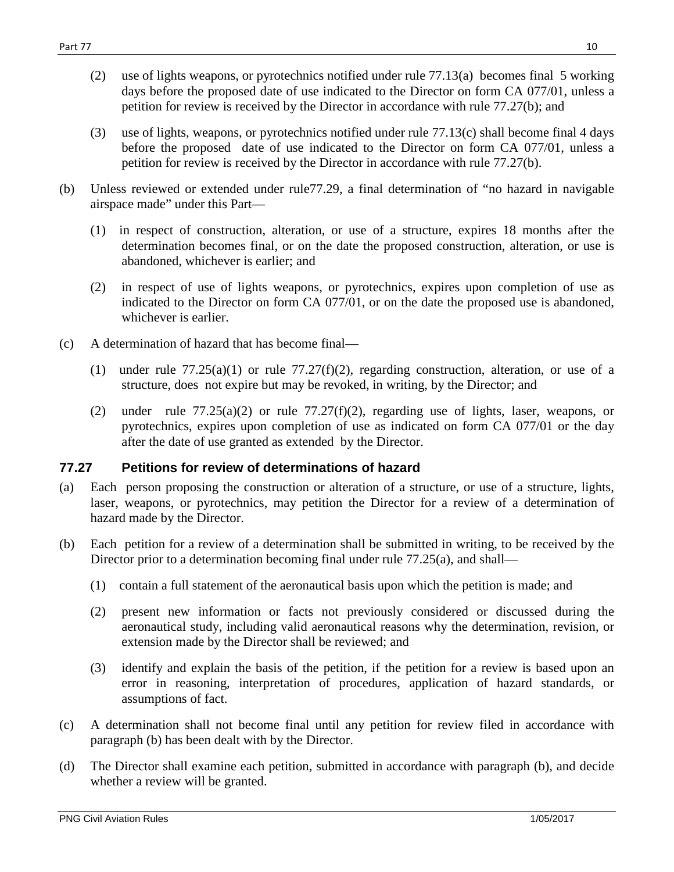- (2) use of lights weapons, or pyrotechnics notified under rule 77.13(a) becomes final 5 working days before the proposed date of use indicated to the Director on form CA 077/01, unless a petition for review is received by the Director in accordance with rule 77.27(b); and
- (3) use of lights, weapons, or pyrotechnics notified under rule 77.13(c) shall become final 4 days before the proposed date of use indicated to the Director on form CA 077/01, unless a petition for review is received by the Director in accordance with rule 77.27(b).
- (b) Unless reviewed or extended under rule77.29, a final determination of "no hazard in navigable airspace made" under this Part—
	- (1) in respect of construction, alteration, or use of a structure, expires 18 months after the determination becomes final, or on the date the proposed construction, alteration, or use is abandoned, whichever is earlier; and
	- (2) in respect of use of lights weapons, or pyrotechnics, expires upon completion of use as indicated to the Director on form CA 077/01, or on the date the proposed use is abandoned, whichever is earlier.
- (c) A determination of hazard that has become final—
	- (1) under rule  $77.25(a)(1)$  or rule  $77.27(f)(2)$ , regarding construction, alteration, or use of a structure, does not expire but may be revoked, in writing, by the Director; and
	- (2) under rule 77.25(a)(2) or rule 77.27(f)(2), regarding use of lights, laser, weapons, or pyrotechnics, expires upon completion of use as indicated on form CA 077/01 or the day after the date of use granted as extended by the Director.

## <span id="page-9-0"></span>**77.27 Petitions for review of determinations of hazard**

- (a) Each person proposing the construction or alteration of a structure, or use of a structure, lights, laser, weapons, or pyrotechnics, may petition the Director for a review of a determination of hazard made by the Director.
- (b) Each petition for a review of a determination shall be submitted in writing, to be received by the Director prior to a determination becoming final under rule 77.25(a), and shall—
	- (1) contain a full statement of the aeronautical basis upon which the petition is made; and
	- (2) present new information or facts not previously considered or discussed during the aeronautical study, including valid aeronautical reasons why the determination, revision, or extension made by the Director shall be reviewed; and
	- (3) identify and explain the basis of the petition, if the petition for a review is based upon an error in reasoning, interpretation of procedures, application of hazard standards, or assumptions of fact.
- (c) A determination shall not become final until any petition for review filed in accordance with paragraph (b) has been dealt with by the Director.
- (d) The Director shall examine each petition, submitted in accordance with paragraph (b), and decide whether a review will be granted.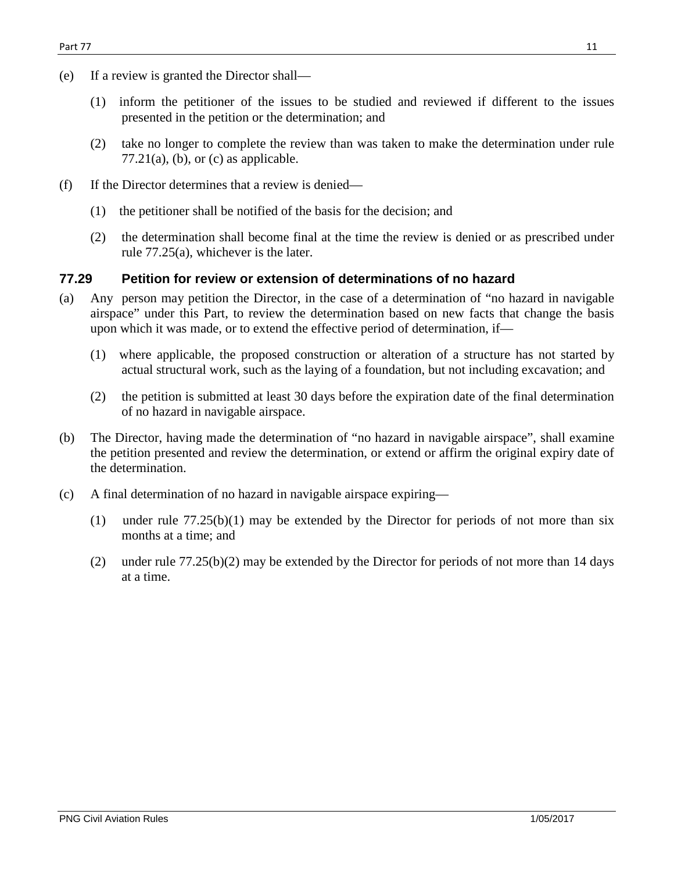- (e) If a review is granted the Director shall—
	- (1) inform the petitioner of the issues to be studied and reviewed if different to the issues presented in the petition or the determination; and
	- (2) take no longer to complete the review than was taken to make the determination under rule  $77.21(a)$ , (b), or (c) as applicable.
- (f) If the Director determines that a review is denied—
	- (1) the petitioner shall be notified of the basis for the decision; and
	- (2) the determination shall become final at the time the review is denied or as prescribed under rule 77.25(a), whichever is the later.

#### <span id="page-10-0"></span>**77.29 Petition for review or extension of determinations of no hazard**

- (a) Any person may petition the Director, in the case of a determination of "no hazard in navigable airspace" under this Part, to review the determination based on new facts that change the basis upon which it was made, or to extend the effective period of determination, if—
	- (1) where applicable, the proposed construction or alteration of a structure has not started by actual structural work, such as the laying of a foundation, but not including excavation; and
	- (2) the petition is submitted at least 30 days before the expiration date of the final determination of no hazard in navigable airspace.
- (b) The Director, having made the determination of "no hazard in navigable airspace", shall examine the petition presented and review the determination, or extend or affirm the original expiry date of the determination.
- <span id="page-10-1"></span>(c) A final determination of no hazard in navigable airspace expiring—
	- (1) under rule 77.25(b)(1) may be extended by the Director for periods of not more than six months at a time; and
	- (2) under rule 77.25(b)(2) may be extended by the Director for periods of not more than 14 days at a time.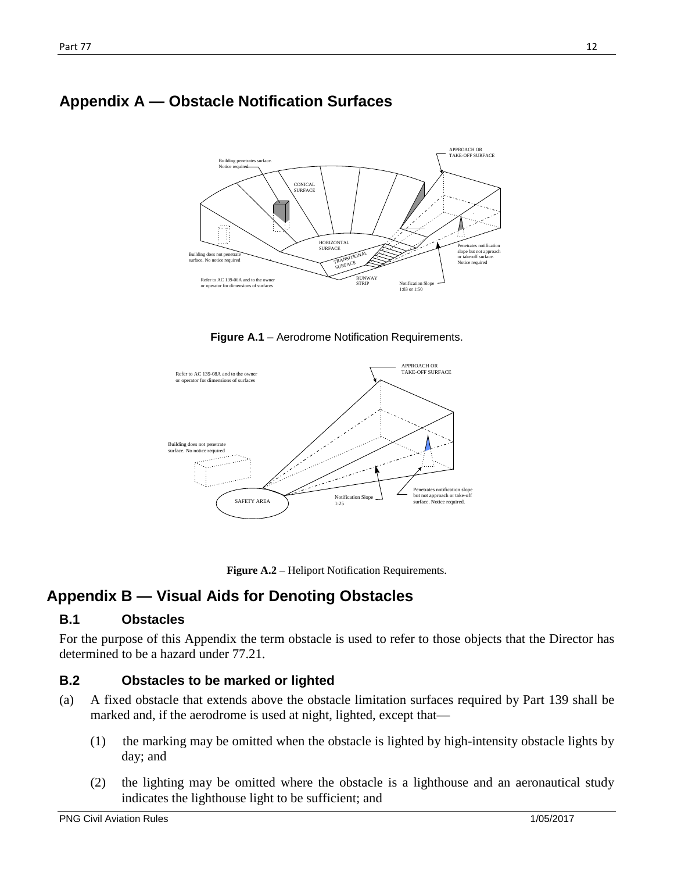

# **Appendix A — Obstacle Notification Surfaces**

**Figure A.1** – Aerodrome Notification Requirements.





# <span id="page-11-0"></span>**Appendix B — Visual Aids for Denoting Obstacles**

### <span id="page-11-1"></span>**B.1 Obstacles**

For the purpose of this Appendix the term obstacle is used to refer to those objects that the Director has determined to be a hazard under 77.21.

## <span id="page-11-2"></span>**B.2 Obstacles to be marked or lighted**

- (a) A fixed obstacle that extends above the obstacle limitation surfaces required by Part 139 shall be marked and, if the aerodrome is used at night, lighted, except that—
	- (1) the marking may be omitted when the obstacle is lighted by high-intensity obstacle lights by day; and
	- (2) the lighting may be omitted where the obstacle is a lighthouse and an aeronautical study indicates the lighthouse light to be sufficient; and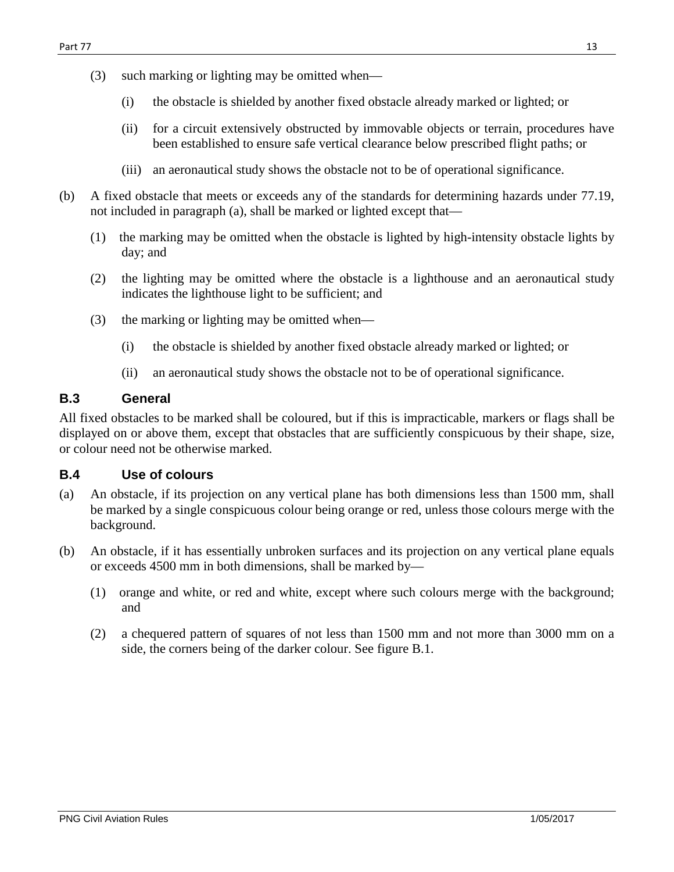- (i) the obstacle is shielded by another fixed obstacle already marked or lighted; or
- (ii) for a circuit extensively obstructed by immovable objects or terrain, procedures have been established to ensure safe vertical clearance below prescribed flight paths; or
- (iii) an aeronautical study shows the obstacle not to be of operational significance.
- (b) A fixed obstacle that meets or exceeds any of the standards for determining hazards under 77.19, not included in paragraph (a), shall be marked or lighted except that—
	- (1) the marking may be omitted when the obstacle is lighted by high-intensity obstacle lights by day; and
	- (2) the lighting may be omitted where the obstacle is a lighthouse and an aeronautical study indicates the lighthouse light to be sufficient; and
	- (3) the marking or lighting may be omitted when—
		- (i) the obstacle is shielded by another fixed obstacle already marked or lighted; or
		- (ii) an aeronautical study shows the obstacle not to be of operational significance.

### <span id="page-12-0"></span>**B.3 General**

All fixed obstacles to be marked shall be coloured, but if this is impracticable, markers or flags shall be displayed on or above them, except that obstacles that are sufficiently conspicuous by their shape, size, or colour need not be otherwise marked.

#### <span id="page-12-1"></span>**B.4 Use of colours**

- (a) An obstacle, if its projection on any vertical plane has both dimensions less than 1500 mm, shall be marked by a single conspicuous colour being orange or red, unless those colours merge with the background.
- (b) An obstacle, if it has essentially unbroken surfaces and its projection on any vertical plane equals or exceeds 4500 mm in both dimensions, shall be marked by—
	- (1) orange and white, or red and white, except where such colours merge with the background; and
	- (2) a chequered pattern of squares of not less than 1500 mm and not more than 3000 mm on a side, the corners being of the darker colour. See figure B.1.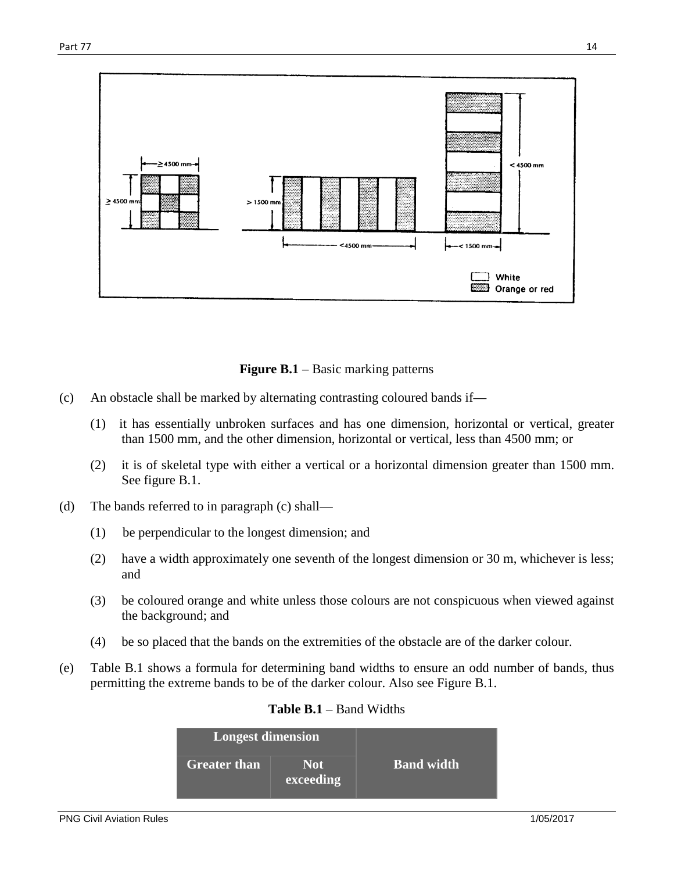



- (c) An obstacle shall be marked by alternating contrasting coloured bands if—
	- (1) it has essentially unbroken surfaces and has one dimension, horizontal or vertical, greater than 1500 mm, and the other dimension, horizontal or vertical, less than 4500 mm; or
	- (2) it is of skeletal type with either a vertical or a horizontal dimension greater than 1500 mm. See figure B.1.
- (d) The bands referred to in paragraph (c) shall—
	- (1) be perpendicular to the longest dimension; and
	- (2) have a width approximately one seventh of the longest dimension or 30 m, whichever is less; and
	- (3) be coloured orange and white unless those colours are not conspicuous when viewed against the background; and
	- (4) be so placed that the bands on the extremities of the obstacle are of the darker colour.
- (e) Table B.1 shows a formula for determining band widths to ensure an odd number of bands, thus permitting the extreme bands to be of the darker colour. Also see Figure B.1.

| <b>Longest dimension</b> |            |                   |
|--------------------------|------------|-------------------|
|                          |            |                   |
| <b>Greater than</b>      | <b>Not</b> | <b>Band width</b> |
|                          | exceeding  |                   |
|                          |            |                   |

#### **Table B.1** – Band Widths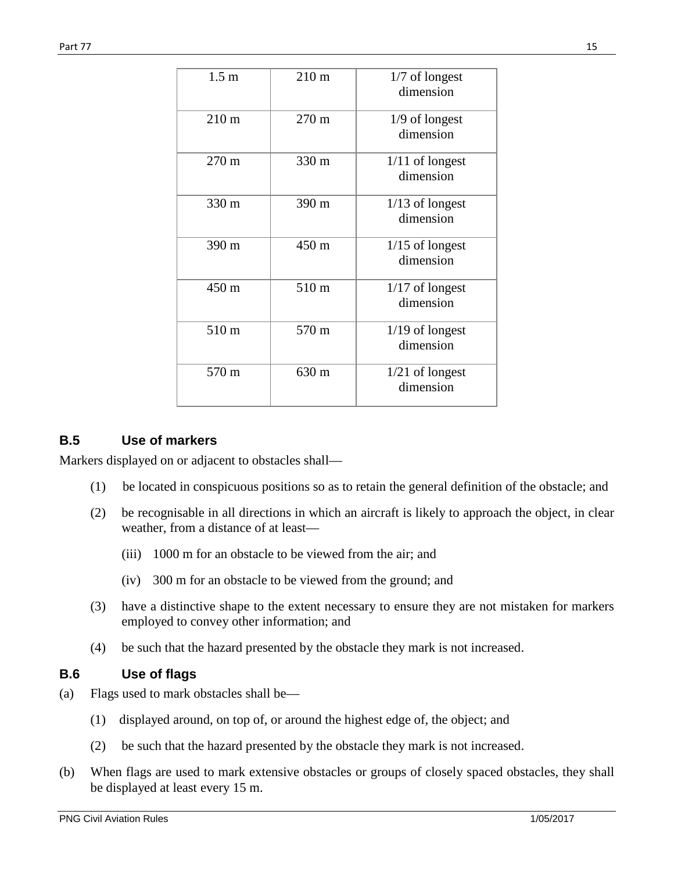| 1.5 <sub>m</sub> | 210 <sub>m</sub> | $1/7$ of longest<br>dimension  |
|------------------|------------------|--------------------------------|
| $210 \text{ m}$  | 270 m            | $1/9$ of longest<br>dimension  |
| 270 m            | 330 m            | $1/11$ of longest<br>dimension |
| 330 m            | 390 m            | $1/13$ of longest<br>dimension |
| 390 m            | 450 m            | $1/15$ of longest<br>dimension |
| 450 m            | 510 m            | $1/17$ of longest<br>dimension |
| 510 m            | 570 m            | $1/19$ of longest<br>dimension |
| 570 m            | 630 m            | $1/21$ of longest<br>dimension |

### <span id="page-14-0"></span>**B.5 Use of markers**

Markers displayed on or adjacent to obstacles shall—

- (1) be located in conspicuous positions so as to retain the general definition of the obstacle; and
- (2) be recognisable in all directions in which an aircraft is likely to approach the object, in clear weather, from a distance of at least—
	- (iii) 1000 m for an obstacle to be viewed from the air; and
	- (iv) 300 m for an obstacle to be viewed from the ground; and
- (3) have a distinctive shape to the extent necessary to ensure they are not mistaken for markers employed to convey other information; and
- (4) be such that the hazard presented by the obstacle they mark is not increased.

#### <span id="page-14-1"></span>**B.6 Use of flags**

- (a) Flags used to mark obstacles shall be—
	- (1) displayed around, on top of, or around the highest edge of, the object; and
	- (2) be such that the hazard presented by the obstacle they mark is not increased.
- (b) When flags are used to mark extensive obstacles or groups of closely spaced obstacles, they shall be displayed at least every 15 m.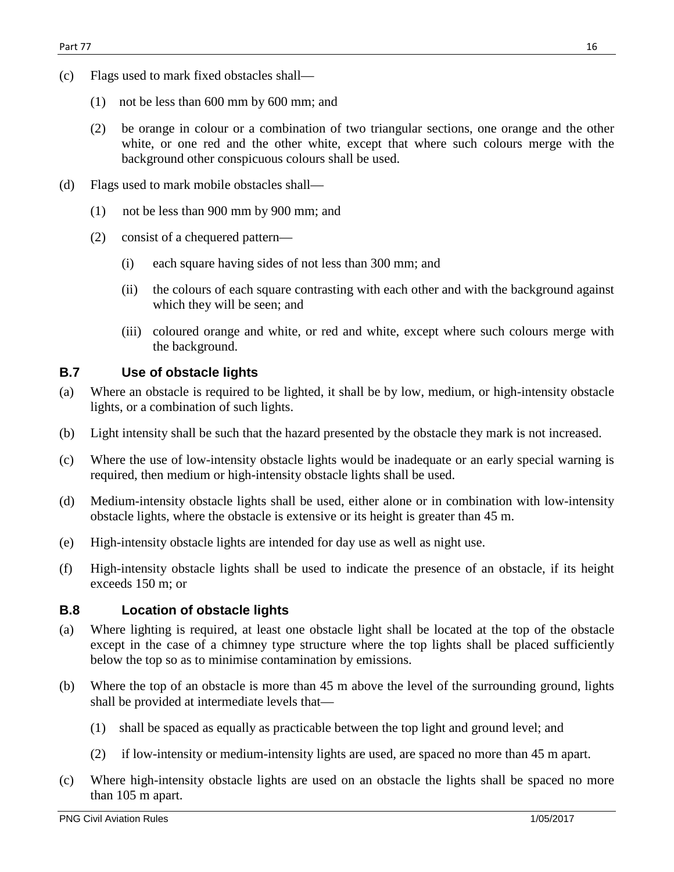- (c) Flags used to mark fixed obstacles shall—
	- (1) not be less than 600 mm by 600 mm; and
	- (2) be orange in colour or a combination of two triangular sections, one orange and the other white, or one red and the other white, except that where such colours merge with the background other conspicuous colours shall be used.
- (d) Flags used to mark mobile obstacles shall—
	- (1) not be less than 900 mm by 900 mm; and
	- (2) consist of a chequered pattern—
		- (i) each square having sides of not less than 300 mm; and
		- (ii) the colours of each square contrasting with each other and with the background against which they will be seen; and
		- (iii) coloured orange and white, or red and white, except where such colours merge with the background.

#### <span id="page-15-0"></span>**B.7 Use of obstacle lights**

- (a) Where an obstacle is required to be lighted, it shall be by low, medium, or high-intensity obstacle lights, or a combination of such lights.
- (b) Light intensity shall be such that the hazard presented by the obstacle they mark is not increased.
- (c) Where the use of low-intensity obstacle lights would be inadequate or an early special warning is required, then medium or high-intensity obstacle lights shall be used.
- (d) Medium-intensity obstacle lights shall be used, either alone or in combination with low-intensity obstacle lights, where the obstacle is extensive or its height is greater than 45 m.
- (e) High-intensity obstacle lights are intended for day use as well as night use.
- (f) High-intensity obstacle lights shall be used to indicate the presence of an obstacle, if its height exceeds 150 m; or

#### <span id="page-15-1"></span>**B.8 Location of obstacle lights**

- (a) Where lighting is required, at least one obstacle light shall be located at the top of the obstacle except in the case of a chimney type structure where the top lights shall be placed sufficiently below the top so as to minimise contamination by emissions.
- (b) Where the top of an obstacle is more than 45 m above the level of the surrounding ground, lights shall be provided at intermediate levels that—
	- (1) shall be spaced as equally as practicable between the top light and ground level; and
	- (2) if low-intensity or medium-intensity lights are used, are spaced no more than 45 m apart.
- (c) Where high-intensity obstacle lights are used on an obstacle the lights shall be spaced no more than 105 m apart.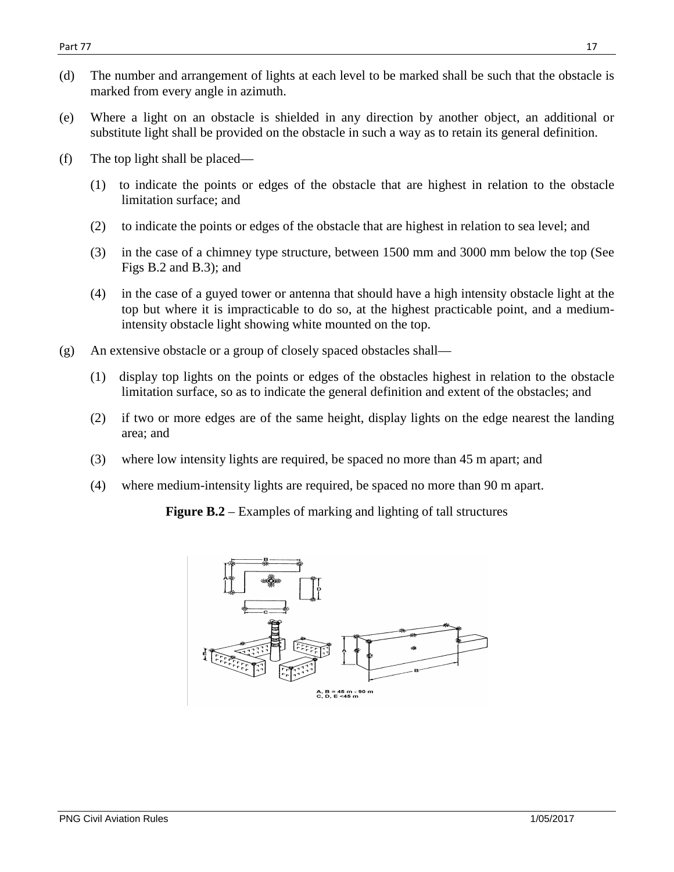- (d) The number and arrangement of lights at each level to be marked shall be such that the obstacle is marked from every angle in azimuth.
- (e) Where a light on an obstacle is shielded in any direction by another object, an additional or substitute light shall be provided on the obstacle in such a way as to retain its general definition.
- (f) The top light shall be placed—
	- (1) to indicate the points or edges of the obstacle that are highest in relation to the obstacle limitation surface; and
	- (2) to indicate the points or edges of the obstacle that are highest in relation to sea level; and
	- (3) in the case of a chimney type structure, between 1500 mm and 3000 mm below the top (See Figs B.2 and B.3); and
	- (4) in the case of a guyed tower or antenna that should have a high intensity obstacle light at the top but where it is impracticable to do so, at the highest practicable point, and a mediumintensity obstacle light showing white mounted on the top.
- (g) An extensive obstacle or a group of closely spaced obstacles shall—
	- (1) display top lights on the points or edges of the obstacles highest in relation to the obstacle limitation surface, so as to indicate the general definition and extent of the obstacles; and
	- (2) if two or more edges are of the same height, display lights on the edge nearest the landing area; and
	- (3) where low intensity lights are required, be spaced no more than 45 m apart; and
	- (4) where medium-intensity lights are required, be spaced no more than 90 m apart.

**Figure B.2** – Examples of marking and lighting of tall structures

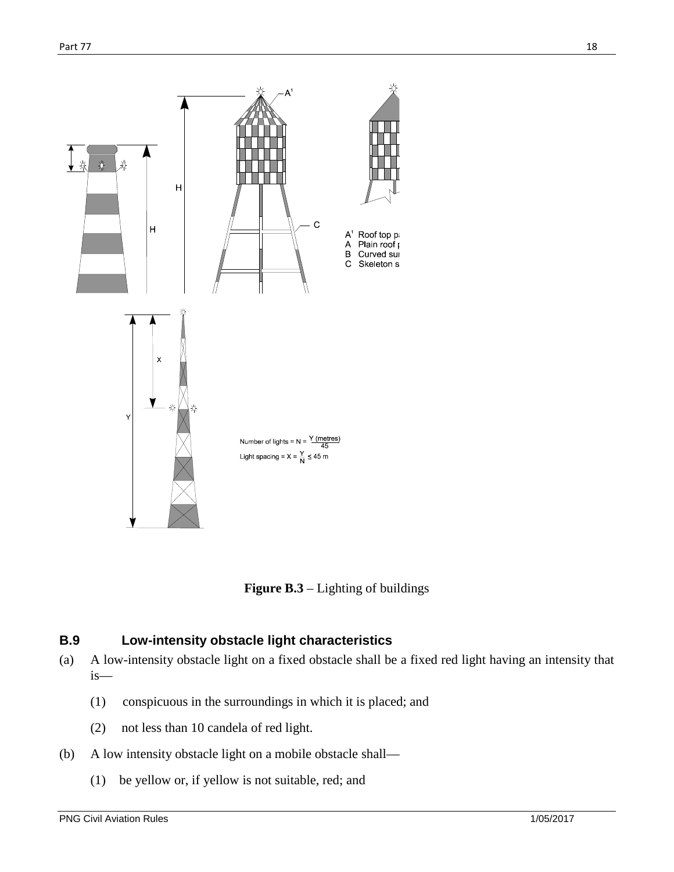

**Figure B.3** – Lighting of buildings

# <span id="page-17-0"></span>**B.9 Low-intensity obstacle light characteristics**

- (a) A low-intensity obstacle light on a fixed obstacle shall be a fixed red light having an intensity that is—
	- (1) conspicuous in the surroundings in which it is placed; and
	- (2) not less than 10 candela of red light.
- (b) A low intensity obstacle light on a mobile obstacle shall—
	- (1) be yellow or, if yellow is not suitable, red; and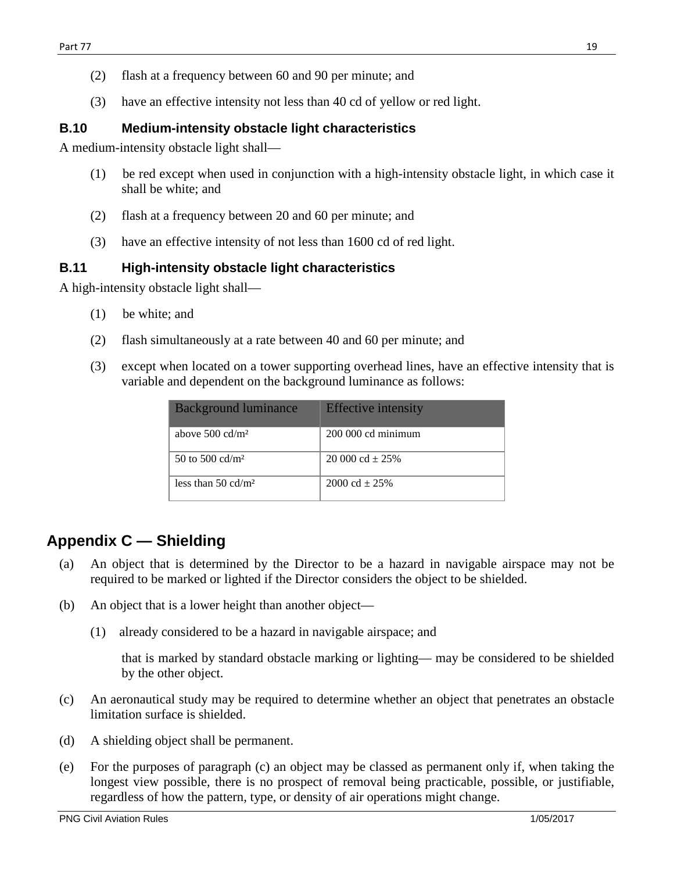- (2) flash at a frequency between 60 and 90 per minute; and
- (3) have an effective intensity not less than 40 cd of yellow or red light.

## <span id="page-18-0"></span>**B.10 Medium-intensity obstacle light characteristics**

A medium-intensity obstacle light shall—

- (1) be red except when used in conjunction with a high-intensity obstacle light, in which case it shall be white; and
- (2) flash at a frequency between 20 and 60 per minute; and
- (3) have an effective intensity of not less than 1600 cd of red light.

# <span id="page-18-1"></span>**B.11 High-intensity obstacle light characteristics**

A high-intensity obstacle light shall—

- (1) be white; and
- (2) flash simultaneously at a rate between 40 and 60 per minute; and
- (3) except when located on a tower supporting overhead lines, have an effective intensity that is variable and dependent on the background luminance as follows:

| <b>Background luminance</b>   | <b>Effective intensity</b> |
|-------------------------------|----------------------------|
| above $500 \text{ cd/m}^2$    | 200 000 cd minimum         |
| 50 to 500 cd/m <sup>2</sup>   | $20000 \text{ cd } + 25\%$ |
| less than $50 \text{ cd/m}^2$ | $2000 \text{ cd } + 25\%$  |

# <span id="page-18-2"></span>**Appendix C — Shielding**

- (a) An object that is determined by the Director to be a hazard in navigable airspace may not be required to be marked or lighted if the Director considers the object to be shielded.
- (b) An object that is a lower height than another object—
	- (1) already considered to be a hazard in navigable airspace; and

that is marked by standard obstacle marking or lighting— may be considered to be shielded by the other object.

- (c) An aeronautical study may be required to determine whether an object that penetrates an obstacle limitation surface is shielded.
- (d) A shielding object shall be permanent.
- (e) For the purposes of paragraph (c) an object may be classed as permanent only if, when taking the longest view possible, there is no prospect of removal being practicable, possible, or justifiable, regardless of how the pattern, type, or density of air operations might change.